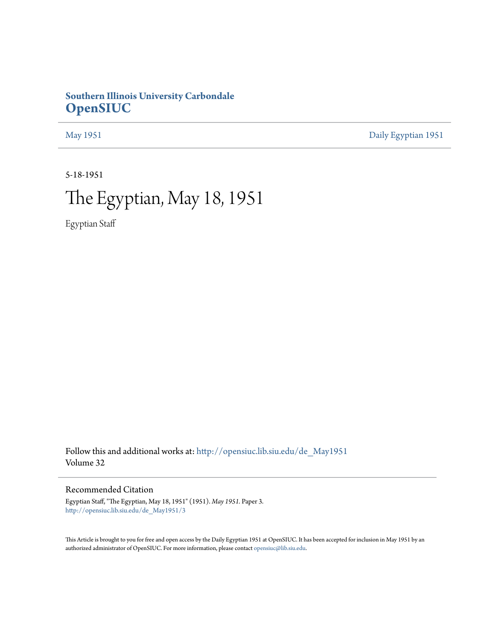### **Southern Illinois University Carbondale [OpenSIUC](http://opensiuc.lib.siu.edu?utm_source=opensiuc.lib.siu.edu%2Fde_May1951%2F3&utm_medium=PDF&utm_campaign=PDFCoverPages)**

[May 1951](http://opensiuc.lib.siu.edu/de_May1951?utm_source=opensiuc.lib.siu.edu%2Fde_May1951%2F3&utm_medium=PDF&utm_campaign=PDFCoverPages) [Daily Egyptian 1951](http://opensiuc.lib.siu.edu/de_1951?utm_source=opensiuc.lib.siu.edu%2Fde_May1951%2F3&utm_medium=PDF&utm_campaign=PDFCoverPages)

5-18-1951

## The Egyptian, May 18, 1951

Egyptian Staff

Follow this and additional works at: [http://opensiuc.lib.siu.edu/de\\_May1951](http://opensiuc.lib.siu.edu/de_May1951?utm_source=opensiuc.lib.siu.edu%2Fde_May1951%2F3&utm_medium=PDF&utm_campaign=PDFCoverPages) Volume 32

### Recommended Citation

Egyptian Staff, "The Egyptian, May 18, 1951" (1951). *May 1951.* Paper 3. [http://opensiuc.lib.siu.edu/de\\_May1951/3](http://opensiuc.lib.siu.edu/de_May1951/3?utm_source=opensiuc.lib.siu.edu%2Fde_May1951%2F3&utm_medium=PDF&utm_campaign=PDFCoverPages)

This Article is brought to you for free and open access by the Daily Egyptian 1951 at OpenSIUC. It has been accepted for inclusion in May 1951 by an authorized administrator of OpenSIUC. For more information, please contact [opensiuc@lib.siu.edu](mailto:opensiuc@lib.siu.edu).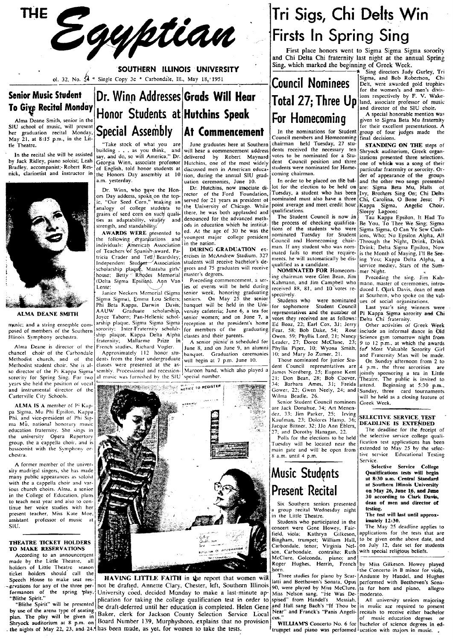THE Egyptian

SOUTHERN ILLINOIS UNIVERSITY ol. 32, No.  $\overleftrightarrow{A}$  \* Single Copy 3c \* Carbondale, Ill., May 18, '1951

# $\begin{array}{c} \begin{array}{c} \circ \\ \hline \end{array} \end{array}$

SIU school of music, will present her graduation recital Monday. May 21. at 8:15 p.m., in the Little Theatre.

In the recital she will be assisted by Jack Ridley, piano soloist; Leah Bradley. accompanist;- Robert Res· nick, clarinetist and instructor in



ALMA DEANE SMITH

chancel choir of the Carbondale | Approximately 112 honor stu- banquet. Graduation ceremonies 10; and Mary Jo Zumer, 21. and Fraternity Man will be made.<br>Methodist church, and of the dents from the four undergraduate will Methodist student choir. She is al-classes were presented at the as-<br>so director of the Pi Kappa Sigma sembly. Processional and recession- Maroon hand, which also played a James Nordberg. 25; Eugene Kent jointly sponsoring sortoil of Spring Sing. For two all music was furnished by the SIC special number.<br>
years she held the position of vocal and the position of vocal and the position of vocal coorer. The public is invited to the public is i

the university Opera Repertory<br>group, the a cappella choir, and is

A former member of the univer-<br>sity madrigal singers, she has made in the College of Education, plans to teach next year and abo to continue her voice studies with her present teacher. Miss Kate Moe. assistant professor of music at

## Senior Music Student Dr. Winn Addresses Grads Will Hear Total 27; Three Up  $\frac{1}{\text{base}}$  and associate professor of music<br>To Give Recital Monday Honor Students at Hutchins Speak  $\frac{1}{\text{base}}$  For Homecoming  $\frac{1}{\text{base}}$  and  $\mathcal{A}_{\text{H}}$   $\mathcal{A}_{\text{H}}$   $\mathcal{A}_{\text{H}}$  and  $\mathcal{A}_{\text{H}}$  and director of the SIU choir.<br>Alma Deane Smith, senior in the **HDNOT** Students at Hutchins Speak  $\mathcal{A}_{\text{H}}$  **For Homecoming** and the orion was pixed to Sigma Special Assembly **At Commencement** In the nominations for Student group of four inter excellent presentations. A

"Take stock of what you are building .•• as you think, and say, and do. so will America," Dr. Georgia Winn, associate professor of English. told honor students at the Honors Day assembly at 10 a.m. yesterday.

individuals: *K*merican Association in the nation.<br>of Teachers of Spanish award, Pa-<br>price CRADUATION ex-<br>man. If any student who was nominated fails to meet the requiretricia Crader and Ted) Beardsley; ercises in McAndrew Stadium, 327 mateu rans to ineet the require- is the Month of Maying, I'll Be See-<br>Independent Student Association students will receive bachelor's de-<br>scholarship plaq  $\frac{1}{2}$ scholarship plaqu . Mastaba girls' grees and 75 graduates will receive  $\frac{1}{2}$  NOMINATED FOR Homecom- mer Night. house: Betty Rhodes Memorial master's degrees. ing chairman were Glen Bean, Jim Preceding the sing. Jim Kahhouse; Betty Rhodes Memorial masters degrees.<br>(Delta Sigma Epsilon), Ann Van I, Preceding commencement, a ser-I Kahmann, and Jim Campbell who mann, master of ceremonies, intro-<br>Lente; Lente: Lente: Lente Devis degree of ce

Janice Neckers Memorial (Sigma senior week, honoring graduating spectively.<br>Sigma Sigma), Emma Lou Sellers; seniors. On May 25 the senior Students who were nominated use of social premizations Sigma Sigma), Emma Lou Sellers; Iseniors. On May 25 the senior Students who were nominated ues of social organizations.<br>Phi Beta Kappa, Darwin Davis; banquet will be held in the Uni for sophomore Student Council I ast vear

delivered by Robert Maynard votes to be nominated for a Stu- izations presented three selections.<br>Hutchins, one of the most widely dent Council position and three one of which was a song of their Hutchins, one of the most widely dent Council position and three one of which was a song of their<br>discussed men in American educa- students were nominated for Home- particular fraternity or sorority. Ordiscussed meh in American educa- students were nominated for Home-<br>tion, during the annual SIU grad-<br>der of appearance of the groups

ors Day addess, spoke on the top-<br>ic. "Our Seed Corn," making an served for 21 years as president of nominated must also have a three Chi, Carolina, O Bone Jesu; Pi<br>an ic. "Our Seed Corn," making an served for 21 years as grains of seed corn on such quali-<br>grains of seed corn on such quali-<br>the Student Council is now in grains of seed corn on such quali- were not denounced for the advanced meth.<br>The Student Council is now in Tau Kappa Epsilon, It Had To<br>strength and standability and ods in education which he institut. the process of check ties as adaptability, vitality and odisordered for the mortality. The process of checking qualifica- Be You, To Thee We Sing; Sigma (OCan Ye Sew Cush-<br>strength, and standability. Sexually and at the age of 30 he was the li strength, and standability.<br>AWARDS WERE presented to ed. At the age of 30 he was the tions of the students who were Sigma Sigma, 0 Can Ye Sew Cush-<br>AWARDS WERE presented to each movie college president nominated Tuesday fo AWARDS WERE presented to you need to you he was the nominated Tuesday for Student ions, Who; Nu Epsilon Alpha, All<br>the following organizations and youngest major college president Council and Homecoming chair-<br>[Through the



Speech House to make seat res-<br>Speech House to make seat res-<br>formances of the spring play.<br>Functions for any of the three per- not be drafted. Annette Clary, Chester, left, Southern Illinois and Beethoven's Sonata. Opus p ervations for any of the three per- not be drafted. Annette Clary, Chester, left, Southern Illinois 90, were played by Miss McClure. It a for horn and piano, allegro<br>formances of the spring play. University coed, decided M Iniversity coed, decided Monday to make a last-minute ap-<br>Miss Nelson sang, "He Was De- moderato.<br>Ho draft-deferred until her education is completed. Helen Gene and Hall sang Bach's "If Thou be in makic<br>I Baker, clerk for Slithe Spirit."<br>"Blithe Spirit." will be presented be draft-deferred until her education is completed. Helen Gene and Hall sang Bach's "If Thou be in music are required to present by use of the arena type of seating be draft-deferred until her education is completed. Helen Gene and Hall sang Bach's "If Thou be in music are required to present<br>by use of the arena type of seating be draft-deferred unt Shryock auditorium at 8 p.m. on Board Number 139, Murphysboro. explains that no provision can be concerto No. 6 for bachelor of science degrees in ed-<br>Shryock auditorium at 8 p.m. on Board Number 139, Murphysboro. explains the nights of May 22, 23, and 24. has been made, as yet. for women to take the tests.

## Tri Sigs, Chi Delts Win Firsts In Spring Sing<br>First place honors went to Sigma Sigma Sigma sorority

and Chi Delta Chi fraternity last night at the annual Spring Sing, which marked the beginning of Greek Week.

Council members and Homecoming June graduates here at Southern chairman held Tuesday, 27 stu-<br>will hear a commencement address dents received the necessary ten Shryock auditorium, Greek organdents received the necessary ten votes to be nominated for a Stu-

youngest major conege president Council and Homecoming chair-<br>Through the nation. CRADUATION ex-<br>DIRING CRADUATION ex-<br>The Missilve of Drink; Delta Sigma Epsilon, Now **DURING GRADUATION ex-**  $\frac{1}{227}$  inated fails to meet the require- is the Month of Maying, I'll Be See-<br>ercisies in McAndrew Stadium, 327 ments, he will automatically be dis-<br>students will receive bachelor's de-

Phi Beta Kappa, Darwin Davis; banquet will be held in the Uni-<br>
AAUW Graduate scholarship, versity cafeteria; June 6, a tea for representatives and the number of Pi Kappa Sigma sorority and Chi<br>
AOW Graduate scholarship. V Joyce Taborn; Pan-Hellenic schol· senior women; and on June 7, a votes they received are as follows: arship plaque. Sigma Sigma Jierry received are as follows: June Chi fraternity scholar-<br>sorority: Inter-Fraternity schola music; and a string ensemble com-larship plaque. Sigma Sigma i reception at the president's home [Ed Boaz, 22; Earl Cox, 31; Jerry | Other activities of Greek Week<br>posed of members of the Southern Sigma Delta Alpha classes nois Symphony orchestra.<br>
A senior picture of the control is scheduled for leader, 27; Doree McClane, 23; 9 to 12 p.m., at which the awards.<br>
A senior picture is scheduled for leader, 27; Doree McClane, 23; 9 to 12 p.m., a

 $s$  a.m. until  $4$  p.m.

Six Southern seniors presented dean o

Bingham, trumpet; William Hall, to be given onthe above date, and Carbondale, tenor; Virginia Nel- on July 12, date set for students

Sing directors Judy Gurley, Tri Council Nominees Sigma, and Bob Robertson, Chi ouncil of Delt, were awarded gold trophies<br>Tatel 27 Three Linus respectively by F. V. Wake-

tion, during the annual SIU grad- $\begin{bmatrix} \text{comning } \text{chairman.} \\ \text{the original } \text{d} \text{er of } \text{m} \text{per two songs presented} \end{bmatrix}$ In order to be placed on the bal- and the other two songs presented lot for the election to be held on are: Sigma Beta Mu, Halls of Dr. Winn, who gave the Hon-<br>
Dr. Hutchins, now associate di-<br>
lot for the election to be held on as been live, Breton of the Ford Foundation, a student who has been live,<br>
in the Chi, Carolina, O Bone Jesu;<br>
in the Chi, C

les of events will be held during received 88, 81, and 10 votes re-<br>Janice Neckers Memorial (Sigma senior week, honoring graduating spectively

Alma Deane is director of the French studies. Richard Vogler. June 8, and on June 9, an alumni Phyllis Piper, 10; Wyona Smith:  $\left\{\frac{1}{2} \right\}$  to 12 p.m., at which the awards<br>thancel choir of the Carbondale Approximately

### SELECTIVE SERVICE TEST DEADLINE IS EXTENDED

The deadline for the feceipt of the selective service college qualification test applications has been extended to May 25 by the selec· tive service Educational Testing Service.

Selective Service College Qualifications tests will begin at 8:30 a.m. Central Standard at Southern IHinois University on May 26, June 16, and June 30 according to Clark Davis, dean of men and director of

 $\begin{array}{c|c|c|c|c} \text{a group. I.} \end{array}$  in the Little Theatre.<br>In the little Theatre.<br>Students who participated in the **imately 12:30**.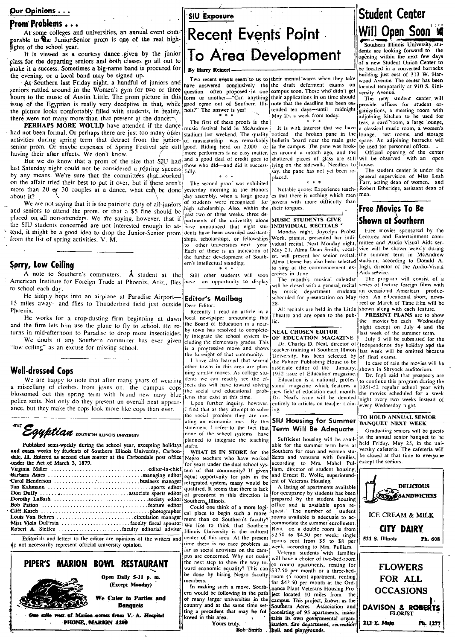It is viewed as a courtesy dance given by the junior<br>
plants of a new Student Union Center to<br>
make it a success. Sometimes a big-name band is procured for<br>
the evening, or a local band may be signanted band in a converted the evening. or a local band may be signed up.

A, the southern last Friday night, a handful of juniors and Two recent events seem to us to libeir mental wares when they take wood Avenue. The center has been the seem of the seem of the distribution of the distribution o At Southern last Friday hight, a manufor two or three question often proposed in one can early decrease in the the draft deferment exams on spenior rattled around in the Women's gym for two or three question often proposed seniors rattled around in the Women's gym for two or three question often proposed in one campus soon. Those who didn't get versity Avenue.<br>hours to the music of Austin Little. The prom picture in this form or another—"Ca issue of the Egyptian is really very deceptive in that, while good come out of Southern IIIi- note that the deadline has been ex-<br>the picture looks comfortably filled with students, in reality, nois?" The answer is yes!<br>Ma the picture looks comfortably filled with students, in reality, nois?" The answer is yes!<br>there were not many more than that present at the dance there were not many more than that present at the dance.<br> **The first of these proofs is the May 25, a week from today.** a large lounge, a card room, a large lounge,

**PERHAPS MORE WOULD** have attended if the dance music festival held in McAndrew It is with interest that we have had not been formal. Or perhaps there are just too many other stadium last weekend. The quality noticed the broken pane in the activities during spring term that detract from the junior- of musicianship was remarkably bull activities during spring term that detract from the junior-of musicianship was remarkably bulletin board near the main gate space. An adjoining barracks will<br>senior prom. Or maybe expenses of Spring Festival are still good senior prom. Or maybe expenses of Spring Festival are still good. Riding herd on 2,000 or to the campus. The pane was brok-<br>having their after effects. We don't know. having their after effects. We don't know.<br>But we do know that a prom of the size that SILL had and a good deal of credit goes to shattered pieces of glass are still

But we do know that a prom of the size that SIU had and a good deal of credit goes to shallered pieces of glass are suit will be observed with an open<br>atturday night could not be considered a poaring success fully. last Saturday night could not be considered a roaring success fully.<br>
by any means. We're sure that the committees that worked<br>
on the affair tried their best to put it over, but if there aren't on the affair tried their best to put it over, but if there aren't The second proof was exhibited  $\begin{array}{c} 0 \leq x \leq 0 \\ x \leq 0 \end{array}$  Farr, acting dean of women, and more than 20 ev 30 couples at a dance, what can be done yes by any means. We're sure that the committees that worked  $\begin{bmatrix} \text{uny.} \\ \text{but,} \\ \text{not,} \end{bmatrix}$ more than 20  $\alpha$  30 couples at a dance, what can be done yesterday morning in the Honors Notable quote: Experience teach-<br>As about it? about it?<br>We are not saving that it is the patriotic duty of all jureos of students were recognized for govern with more difficulty than

We are not saying that it is the patriotic duty of all undors of students were 'recognized for govern with more difficulty than  $\frac{1}{1}$ and seniors to attend the prom. or that a \$5 fine should be  $\frac{1}{1}$  past two or three weeks, three de-  $\frac{1}{1}$  in the top of the top of the top of the top of the top of the enversity alone MUSIC STUDENTS CIVE placed on all non-attenders. We are saying, however, that if past two of the university alone MUSIC STUDENTS GIVE<br>the SIU students concerned are not interested enough to at have announced that eight stu-{INDIVIDUAL RECITAL the SIU students concerned are not interested enough to at- have announced that eight stu- INDIVIDUAL RECITALS '<br>tend, it might be a good idea to drop the Junior-Senior prom dents have been awarded assistant-<br>from the list tend, it might be a good idea to drop the Junior-Senior prom dents have been awarded assistant. Monday night. Joycelyn Probst Free movies sponsored by the from the list of enrine activities V. M. from the list of spring activities. V, M. Ships. scholarships, or fellowships Work, pianist, presented her indi- Lectures and Entertainment com-<br>Ships. scholarships. or fellowships with a state of the com-

A note to Southern's commuters. A student at the Still other students will soon ercises in June.<br>American Institute for Foreign Trade at Phoenix. Ariz., flies have an opportunity to display The month's musical calendar The

He simply hops into an airplane at Paradise Airport— Editor's Mailbag scheduled for presentation on May lion. An educational short, news-<br>niles away—and flies to Thunderbird field just outside Dear Editor's Mailbag 28. 15 miles away—and flies to Thunderbird field just outside Dear Editor: 28. I reel or March of Time film will be a lead on article in a lead on article in a lead on a lead on a lead on a lead on a lead on a lead on a lead o

He works for a crop-dusting firm beginning at dawn and the firm lets him use the plane to fly to schooL He returns in mid'afternoon to Paradise to drop more insecticides, We doubt if any Southern commuter has ever given

"low ceiling" as an excuse for missing school.

### Well-dressed Cops

We are happy to note that after many years of wearing dents we can readily see the ef- $\vert$  Education is a national, profes- to continue this program during the We are happy to note that after many years of wearing dents we can readily see the et-| Education is a national, profes-1 to continue this program during the antises of the campus cops tects this vill have toward solving s Well-dressed Cops<br>We are happy to note that after many years of wearing dents we can readily see the ef-<br>a miscellany of clothes. from jeans on, the campus cops the social and educational solving simulation is a national, police suits. Not only do they present an overall neat appear lens that exist at this time. IDr. Near's issue will be devoted night every two weeks instead of ance, but they make the cops look more like cops than ever. I f ance, but they make the cops look more like cops than ever. If find that as they attempt to solve ing.

## Equiplican southern in thos university of the school systems have Term Will Be Adequate Graduating seniors will be guests.<br>Panned to integrate the teaching Sufficient housing will be available and senaror banquet to be pla

**Published semi-weekly during the school year, excepting holidays staffs.** The summer seem and women earl held Friday. May 25, in the uni-<br>and exam weeks by students of Southern Illinois University, Carbon WHAT IS IN STORE **and exam weeks by students of Southern Illinois University, Carbon** when  $\mathbf{X}$  **WHAT IS IN STORE** for the Southern for men and women stu-<br> **Ander the Act of March 3, 1879.** We cannot and the Carbondale post office Neg

| under the Act of March 3, 1879.                                                                                                                                                                                                                  | for years under the dual school sys- according to Mrs. Mabel Pul- except the seniors. |                    |
|--------------------------------------------------------------------------------------------------------------------------------------------------------------------------------------------------------------------------------------------------|---------------------------------------------------------------------------------------|--------------------|
| <b>under the Act of March 3, 1879.</b> [See the dual school sys- accounting to the set of the dual school sys- accounting to the march shape of the United School sys- accounting to the student housing.                                        |                                                                                       |                    |
|                                                                                                                                                                                                                                                  |                                                                                       |                    |
|                                                                                                                                                                                                                                                  |                                                                                       |                    |
|                                                                                                                                                                                                                                                  |                                                                                       |                    |
|                                                                                                                                                                                                                                                  |                                                                                       | $\mathcal{L}_{ss}$ |
|                                                                                                                                                                                                                                                  | prepared by the student housing 3                                                     |                    |
|                                                                                                                                                                                                                                                  |                                                                                       |                    |
| Cliff Karch contract the number of student and the student of student and the student of student and the student of student and the student of student and the student of student and the student of student of student of stu                   |                                                                                       |                    |
|                                                                                                                                                                                                                                                  |                                                                                       | <b>ICE CREAM</b>   |
|                                                                                                                                                                                                                                                  |                                                                                       |                    |
| Miss view Links that the contract of the contract of the contract of the contract of the contract of the contract of the contract of the contract of the second contract of the S4.50 per week; single $\begin{bmatrix} 1 & -1 \\ -2 & 0 \end{b$ |                                                                                       |                    |
|                                                                                                                                                                                                                                                  |                                                                                       |                    |

Editorials and letters to the editor are opinions of the writers and center of this area. At the present of necessarily represent official university opinion. do not necessarily represent official university opinion. The there is no race problem as  $\frac{1}{2}$  week, according to Ms. Pulliam

### PIPER'S MARION BOWl RESTAURANT



Open Daily 5-11 p. m. (Except Monday)

We Cater to Parties and **Banquets** 

One mile west of Marion across from V. A. Hospital PHONE, MARION 1200

## from' problems • • • ~ ,. 0 S I .• , At some colleges and universities, an annual event com- Recent E\..I.e,n' ts Poi, n. t Will pen oon', parable to ~e JuniQr-Senior prom is OJl~ of the real high- ~'. . \_\_ ' fights of the school year.<br>It is viewed as a courtesy dance given by the junior **To Area Development** southern Illinois University stu-<br>class for the departing seniors and both classes go all out to **To Area Development**

the further development of South- ist, will present her senior recital.

town has resolved to complete- NEAL CHOSEN EDITOR last week of the summer term, integrate the school system in- OF EDUCATION MAGAZINE last week of the submitted for

the social problem they are cre-<br>ating an economic one. By this SIU Housing for Summer RANOUET NEXT WEEK ting an economic one. By this SIU Housing for Summer BANQUET NEXT WEEK<br>statement I refer to the fact that Term Will Be Adequate

Facture America American American American American American American equal opportunity or jobs in the and Ernest R. Wolfe, superintend-<br>equal opportunity for jobs in the and Ernest R. Wolfe, superintend-<br>interrated system integrated system, many would be Southern. Illinois.<br>Could one think of a more logi-

cal place to begin such a move-<br>ment than on Southern's faculty?  $\frac{1}{2}$  rooms available is adequate to ac-We like to think that Southern commodate the summer enrollment.<br>Illinois University is the cultural Rent on a double room is from<br>center of this area. At the present  $\frac{S2.50}{1000}$  to \$4.50 per . . f' 1 .. . h I wee , accor mg to rs. u lam. ar as SOCIa actlvilles on t e cam- <sup>V</sup>t t d t . 'th f <sup>T</sup> pus are concerned. Why not make will have a choice of two-bed-room,<br>the next step to show the way to- $\frac{1}{1/4}$  room) apartments repring for be done by hiring Negro faculty members.

> ern would be following in the path of many larger universities in the country and at the same time setting a precedent that may be fol- consisting of 95 apartments, main-<br>lowed in this area.<br>lowed in this area.

vidual recital. Next Monday night, May 21, Alma Dean Smith, vocal

Recently J read an article in a  $\parallel$  All recitals are held in the Little shown along with each feature.<br>Cal newspaper, appointing that Theatre and are open to the pub- $\parallel$  PRESENT PLANS are to show local newspaper announcing that Theatre and are open to the pub-<br>plocal newspaper announcing that  $\frac{1}{2}$ 

is foresight of that community. University, has been selected by  $\begin{bmatrix} \text{max} \\ \text{sum} \end{bmatrix}$  and exams. I have also learned that several the Palmer Publishing House to be  $\overline{ }$  In case of rain the movies will be other towns in this area are plan- $\overline{ }$  associate editor of the Interval channel in Shmook auditorium other towns in this area are plan-<br>ning similar moves. As college stu- 1952 issue of Education' magazine. Dr. Ingli said that prospects are

\$2.50 to \$4.50 per week; single rooms rent from \$5 to \$8 per

the next step to show the way to- $(4 \text{ room})$  apartments, renting for ward economic equality? This can  $\frac{1}{\$37.50}$  per month or a three-bedembers.<br>In making such a move, South-<br>mance Plant Veterans Housing Pro-Veteran students with families room (5 room) apartment, renting nance Plant Veterans Housing Prolowed is area.  $\begin{array}{c} \hbox{is or zero} \\ \hbox{is not even} \end{array}$  tains its own governmental organject located 10 miles from the campus. This project, known as the Southern Acres Association and Yours truly, **ization**, fire department, recreation Bob Smith . [hall, and playgrounds.

# $\frac{\rho_{\text{ur}}}{\rho_{\text{v}}}\n$   $\frac{\rho_{\text{ur}}}{\rho_{\text{v}}}\n$   $\frac{\rho_{\text{ur}}}{\rho_{\text{v}}}\n$   $\frac{\rho_{\text{ur}}}{\rho_{\text{v}}}\n$   $\frac{\rho_{\text{ur}}}{\rho_{\text{v}}}\n$

music festival held in McAndrew I it is with interest that we have a classical music room, a women's<br>stadium last weekend. The quality noticed the broken pane in the lounge, rest rooms, and storage<br>of musicianship was rema

Each of these is an indication of  $\left[\text{Max}\right]$  Dean Smith, vocal- $\left|\text{vice will be shown weekly during} \right|$  will be shown weekly during Sorry, Low Ceiling<br>A note to Southern's commuters. A student at the Still other students will soon ercises in June.<br>A note to Southern's commuters. A student at the Still other students will soon ercises in June.

by music department students an occasional American produc-<br>scheduled for presentation on May tion. An educational short, news-

the Board of Education in a near-<br>the Board of Education in a near-<br>by town has resolved to complete-<br> $\sum_{\text{Left}}$   $\sum_{\text{Left}}$  CHOSEN EDITOR

1) integrate the school system in-<br>cluding the elementary grades. This Dr. Charles D. Neal, director of Independence day boliday and the exploring the elementary grades. This Dr. Charles D. Neal, director of Independence day holiday and the set is a progressive move and shows teacher training at Southern Illinois last used the position is a set in the set is a progressive move and shows. teacher training at Southern Illinois last week will be omitted because

planned to integrate the teaching Sufficient housing will be avail- at the annual senior banquet to be<br>exacted.



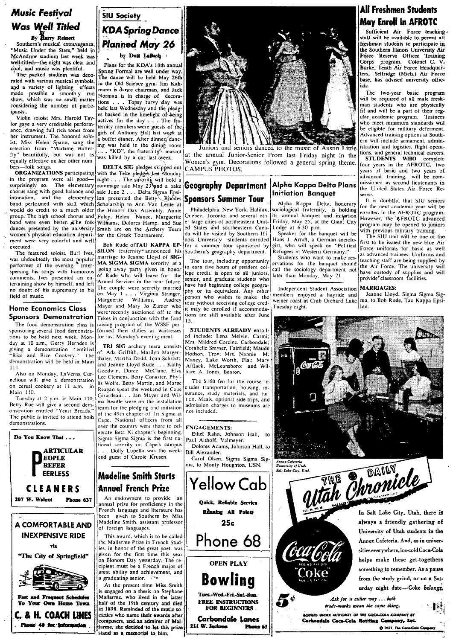### **Music Festival Was Well Titled** By Harry Reinert

Southern's musical extravaganza,<br>"Music Under the Stars," held in McAndrew stadium last week was well-titled-the night was clear and cool, and music was plentiful.

The packed stadium was decorated with various musical symbols, and a variety of lighting effects made possible a smoothly run show, which was no small matter considering the number of participants.

Violin soloist Mrs. Harold Taylor gave a very creditable performance, drawing full rich tones from her instrument. The honored soloist, Miss Helen Spann, sang the<br>selection from "Madame Butterfly" beautifully, but was not as<br>equally effective on her other numbers-folk songs.

ers—folk songs.<br>**ORGANIZATIONS** participating in the program were all goodsurprisingly so. The elementary chorus sang with good balance and intonation, and the elementary band performed with skill which would do credit to a much older group. The high school chorus and band were even better. The folk Williams, Dolores Hamp, and Sue<br>dances presented by the university Smith are on the Archery Team women's physical education department were very colorful and well executed.

The featured soloist, Burl Ives, was undoubtedly the most popular performer of the evening. Interspersing his songs with humorous comments, Ives presented an entertaining show by himself, and left no doubt of his supremacy in his field of music.

### **Home Economics Class Sponsors Demonstration**

The food demonstration class is sponsoring several food demonstrations to be held next week. Monday at 10 a.m., Gerry Hernden is giving a demonstration \*entitled<br>"Rice and Rice Cookery." The demonstration will be held in Main 111.

Also on Monday, LaVerna Cornelious will give a demonstration on cereal cookery at 11 a.m. in Main  $110$ 

Tuesday at 2 p.m. in Main 110, Betty Roe will give a second dem-<br>onstration entitled "Yeast Breads." The public is invited to attend both demonstrations.



Phone 40 for Information

### SIU Society **KDA Spring Dance** Planned May 26 by Dott LaBash

Plans for the KDA's 18th annual Spring Formal are well under way The dance will be held May 26th in the Old Science gym. Jim Kahmann is dance chairman, and Jack Norman is in charge of decorations. . Topsy turvy day was held last Wednesday and the pledges basked in the limelight of being actives for the day . . . The fraternity members were guests of the girls of Anthony Hall last week at a buffet dinner. After dinner, dancing was held in the dining room "KD", the fraternity's mascot was killed by a car last week.

**DELTA SIG** pledges skipped out<br>with the Teke pledges last Monday night . . . The serority will hold a<br>rummage sale May 23 and a bake sale June 2 . . . Delta Sigma Epsilon presented the Betty Rhodes<br>Scholarship to Ann Van Lente at the Honors Day Assembly. Annie Foley, Helen Nance, Marguerite for the Greek Tournament.

Bob Rude ofTAU KAPPA EP-SILON fraternity announced his MA SIGMA SIGMA sorority at a going away party given in honor<br>of Rude who will leave for the Armed Services in the near future. The couple were secretly married<br>on May 1 . . . Virginia Stringer,<br>Marguerite Williams, Audrey Mayer and Mary Jo Zumer who were recently auctioned off to the Tekes in conjunction with the fund raising program of the WSSF performed their duties as waitresses for last Monday's evening meal.

TRI SIG archery team consists of: Ada Griffith, Marilyn Margenthaler, Martha Dodd, Joan Schrodt. and Jeanne Lloyd Rude . . . Kathy Goodwin, Doree McClane, Elva Lee Clemens, Betty Conaster, Phyllis Wolfe, Betty Martin, and Marge Reagan spent the weekend in Cape Girardeau. . . Jan Mayer and Wilma Beadle were on the installation team for the pledging and initiation of the 49th chapter of Tri Sigma at Cape. National officers from all over the country were there to celebrate Beta Xi chapter's beginning. Sigma Sigma Sigma is the first national sorority on Cape's campus . . Dolly Lupella was the week-



seniors danced to the music of Austin Little at the annual Junior-Senior Prom last Friday night in the Women's gym. Decorations followed a general spring theme. CAMPUS PHOTOS.

### **Geography Department Sponsors Summer Tour**

Philadelphia, New York, Halifax, Quebec, Toronto, and several other large cities of northeastern United States and southeastern Canada will be visited by Southern Illinois University students enrolled<br>for a summer tour sponsored by Southern's geography department.

The tour, including opportunity to earn five hours of resident college credit, is open to all juniors, senior, and graduate students who have had beginning college geography or its equivalent. Any other person who wishes to make the four without receiving college credit may be enrolled if accommodations are still available after June 15.

ed include: Lena Melvin, Carmi; Mrs. Mildred Corzine, Carbondale; Corabelle Smyser, Fairfield; Maude Hodson, Troy: Mrs. Nannie M.<br>Maxey, Lake Worth, Fla.; Mary<br>Afflack, McLeansboro; and William A. Jones, Benton.

The \$160 fee for the course includes transportation, housing, insurance, study materials, and tuition. Meals, optional side trips, and admission charges to museums are not included.

### **ENGAGEMENTS:**

Ethel Rahn, Johnson Hall, to<br>Paul Althoff, Valmeyer. Dolores Adams, Johnson Hall, to

Bill Alexander. Carol Olsen, Sigma Sigma Sig-

ma, to Monty Houghton, USN.

Running All Points

 $25c$ 

Phone 68

**OPEN PLAY** 

Bowling

Tues.-Wed.-Fri.-Sat.-Sun.

**FREE INSTRUCTIONS** 

FOR REGINNERS

Carbondale Lanes

Phone 63

211 W. Jackson

### **Madeline Smith Starts** Yellow Cab Annual French Prize An endowment to provide an Quick, Reliable Service

annual prize for proficiency in the French language and literature has given to Southern by Miss Madeline Smith, assistant professor of foreign languages.

This award, which is to be called the Mallarme Prize in French Studies, in honor of the great poet, was given for the first time this year on Honors Day yesterday. The re-<br>cipient must be a French major of great ability and achievement, and a graduating senior.

At the present time Miss Smith engaged on a thesis on Stephane Mallarme, who lived in the latter half of the 19th century and died<br>in 1898. Reminded of the music societies who name their awards after composers, and an admirer of Mal-Harme, she decided to let this prize stand as a memorial to him.



Alpha Kappa Delta Plans

Alpha Kappa Delta, honorary<br>sociological fraternity, is holding

its annual banquet and initiation

Friday, May 25, at the Giant City

Lodge at 6:30 p.m.<br>Speaker for the banquet will be

Hans J. Arndt, a German sociolo-

gist, who will speak on "Political

Students who want to make res-

ervations for the banquet should

Refugees in Western Germany.'

**Initiation Banquet** 

### **All Freshmen Students** May Enroll In AFROTC

Sufficient Air Force teaching staff will be available to permit all freshman students to participate in the Southern Illinois University Air Force Reserve Officer Training Corps program, Colonel C. V.<br>Burke, Tenth Air Force Headquarters, Selfridge (Mich.) Air Force<br>has advised university officbase. ials.

The two-year basic program<br>will be required of all male freshman students who are physically fit and will be a part of their regular academic program. Trainees who meet minimum standards will be eligible for military deferment. Advanced training options at Southern will include armament, administration and logistics. flight opera-

tions, and general technical careers.<br>STUDENTS WHO complete four years in the AFROTC, two years of basic and two years of advanced training, will be com-<br>missioned as second lieutenants in the United States Air Force Reserve.

It is doubtful that SIU seniors for the next academic year will be enrolled in the AFROTC program. However, the AFROTC advanced program may be opened to juniors with previous military training.

The SIU unit will be one of the first to be issued the new blue Air Force uniforms for basic as well as advanced trainees. Uniforms and teaching staff are being supplied by the Air Force. The university will have custody of supplies and will provide classroom facilities.

### **MARRIAGES:**

Jeanne Lloyd, Sigma Sigma Sigweiner roast at Crab Orchard Lake ma, to Bob Rude, Tau Kappa Epsi $l$ lon.

> Utah Chronicle In Salt Lake City, Utah, there is always a friendly gathering of University of Utah students in the Annex Cafeteria. And, as in universities everywhere, ice-coldCoca-Cola helps make these get-togethers something to remember. As a pause from the study grind, or on a Saturday night date-Coke belongs.

> > C 1951, The Cone-Cole Car

Ask for it either way ... both trade-marks mean the same thing. **STRED UNDER AUTHORITY OF THE COCA-COLA COMPANY BY** Carhondale Coca-Cola Bottling Company, Inc.



Annex Cafeteria<br>University of Utah<br>Salt Lake City, Utah

Coke

 $\bar{\boldsymbol{5}}^{\scriptscriptstyle \phi}$ 

STUDENTS ALREADY enroll-